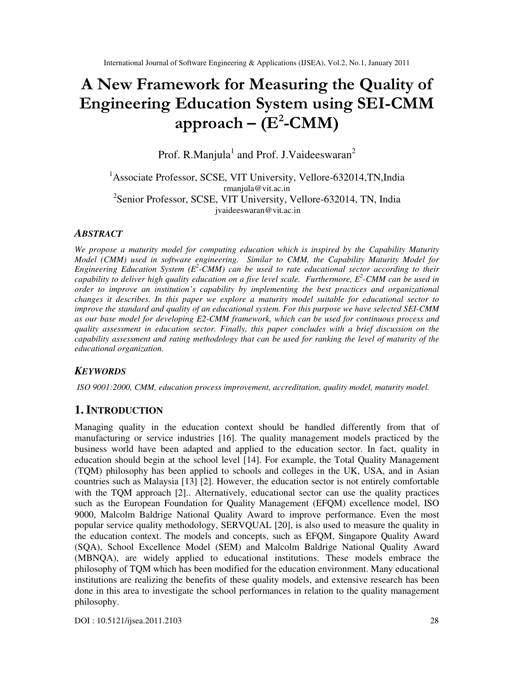# A New Framework for Measuring the Quality of Engineering Education System using SEI-CMM approach – ( $\rm E^2\text{-}CMM)$

Prof. R.Manjula<sup>1</sup> and Prof. J.Vaideeswaran<sup>2</sup>

<sup>1</sup>Associate Professor, SCSE, VIT University, Vellore-632014,TN, India rmanjula@vit.ac.in <sup>2</sup>Senior Professor, SCSE, VIT University, Vellore-632014, TN, India jvaideeswaran@vit.ac.in

### *ABSTRACT*

*We propose a maturity model for computing education which is inspired by the Capability Maturity Model (CMM) used in software engineering. Similar to CMM, the Capability Maturity Model for Engineering Education System (E<sup>2</sup> -CMM) can be used to rate educational sector according to their capability to deliver high quality education on a five level scale. Furthermore, E<sup>2</sup> -CMM can be used in order to improve an institution's capability by implementing the best practices and organizational changes it describes. In this paper we explore a maturity model suitable for educational sector to improve the standard and quality of an educational system. For this purpose we have selected SEI-CMM as our base model for developing E2-CMM framework, which can be used for continuous process and quality assessment in education sector. Finally, this paper concludes with a brief discussion on the capability assessment and rating methodology that can be used for ranking the level of maturity of the educational organization.* 

# *KEYWORDS*

*ISO 9001:2000, CMM, education process improvement, accreditation, quality model, maturity model.* 

# **1. INTRODUCTION**

Managing quality in the education context should be handled differently from that of manufacturing or service industries [16]. The quality management models practiced by the business world have been adapted and applied to the education sector. In fact, quality in education should begin at the school level [14]. For example, the Total Quality Management (TQM) philosophy has been applied to schools and colleges in the UK, USA, and in Asian countries such as Malaysia [13] [2]. However, the education sector is not entirely comfortable with the TOM approach [2].. Alternatively, educational sector can use the quality practices such as the European Foundation for Quality Management (EFQM) excellence model, ISO 9000, Malcolm Baldrige National Quality Award to improve performance. Even the most popular service quality methodology, SERVQUAL [20], is also used to measure the quality in the education context. The models and concepts, such as EFQM, Singapore Quality Award (SQA), School Excellence Model (SEM) and Malcolm Baldrige National Quality Award (MBNQA), are widely applied to educational institutions. These models embrace the philosophy of TQM which has been modified for the education environment. Many educational institutions are realizing the benefits of these quality models, and extensive research has been done in this area to investigate the school performances in relation to the quality management philosophy.

DOI : 10.5121/ijsea.2011.2103 28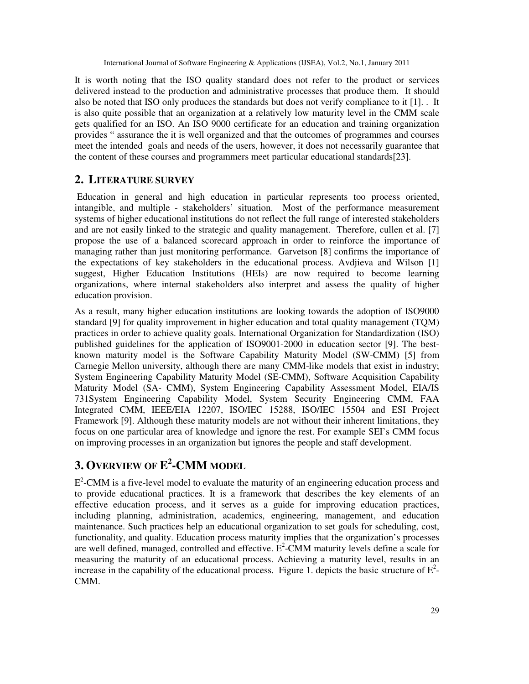It is worth noting that the ISO quality standard does not refer to the product or services delivered instead to the production and administrative processes that produce them. It should also be noted that ISO only produces the standards but does not verify compliance to it [1]. . It is also quite possible that an organization at a relatively low maturity level in the CMM scale gets qualified for an ISO. An ISO 9000 certificate for an education and training organization provides " assurance the it is well organized and that the outcomes of programmes and courses meet the intended goals and needs of the users, however, it does not necessarily guarantee that the content of these courses and programmers meet particular educational standards[23].

# **2. LITERATURE SURVEY**

 Education in general and high education in particular represents too process oriented, intangible, and multiple - stakeholders' situation. Most of the performance measurement systems of higher educational institutions do not reflect the full range of interested stakeholders and are not easily linked to the strategic and quality management. Therefore, cullen et al. [7] propose the use of a balanced scorecard approach in order to reinforce the importance of managing rather than just monitoring performance. Garvetson [8] confirms the importance of the expectations of key stakeholders in the educational process. Avdjieva and Wilson [1] suggest, Higher Education Institutions (HEIs) are now required to become learning organizations, where internal stakeholders also interpret and assess the quality of higher education provision.

As a result, many higher education institutions are looking towards the adoption of ISO9000 standard [9] for quality improvement in higher education and total quality management (TQM) practices in order to achieve quality goals. International Organization for Standardization (ISO) published guidelines for the application of ISO9001-2000 in education sector [9]. The bestknown maturity model is the Software Capability Maturity Model (SW-CMM) [5] from Carnegie Mellon university, although there are many CMM-like models that exist in industry; System Engineering Capability Maturity Model (SE-CMM), Software Acquisition Capability Maturity Model (SA- CMM), System Engineering Capability Assessment Model, EIA/IS 731System Engineering Capability Model, System Security Engineering CMM, FAA Integrated CMM, IEEE/EIA 12207, ISO/IEC 15288, ISO/IEC 15504 and ESI Project Framework [9]. Although these maturity models are not without their inherent limitations, they focus on one particular area of knowledge and ignore the rest. For example SEI's CMM focus on improving processes in an organization but ignores the people and staff development.

# **3. OVERVIEW OF E 2 -CMM MODEL**

 $E<sup>2</sup>$ -CMM is a five-level model to evaluate the maturity of an engineering education process and to provide educational practices. It is a framework that describes the key elements of an effective education process, and it serves as a guide for improving education practices, including planning, administration, academics, engineering, management, and education maintenance. Such practices help an educational organization to set goals for scheduling, cost, functionality, and quality. Education process maturity implies that the organization's processes are well defined, managed, controlled and effective.  $E^2$ -CMM maturity levels define a scale for measuring the maturity of an educational process. Achieving a maturity level, results in an increase in the capability of the educational process. Figure 1. depicts the basic structure of  $E^2$ -CMM.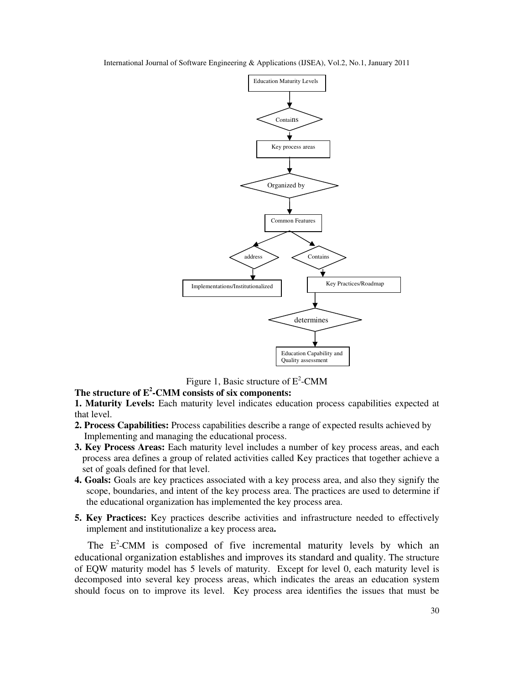International Journal of Software Engineering & Applications (IJSEA), Vol.2, No.1, January 2011



Figure 1, Basic structure of  $E^2$ -CMM

# **The structure of E<sup>2</sup> -CMM consists of six components:**

**1. Maturity Levels:** Each maturity level indicates education process capabilities expected at that level.

- **2. Process Capabilities:** Process capabilities describe a range of expected results achieved by Implementing and managing the educational process.
- **3. Key Process Areas:** Each maturity level includes a number of key process areas, and each process area defines a group of related activities called Key practices that together achieve a set of goals defined for that level.
- **4. Goals:** Goals are key practices associated with a key process area, and also they signify the scope, boundaries, and intent of the key process area. The practices are used to determine if the educational organization has implemented the key process area.
- **5. Key Practices:** Key practices describe activities and infrastructure needed to effectively implement and institutionalize a key process area**.**

The E<sup>2</sup>-CMM is composed of five incremental maturity levels by which an educational organization establishes and improves its standard and quality. The structure of EQW maturity model has 5 levels of maturity. Except for level 0, each maturity level is decomposed into several key process areas, which indicates the areas an education system should focus on to improve its level. Key process area identifies the issues that must be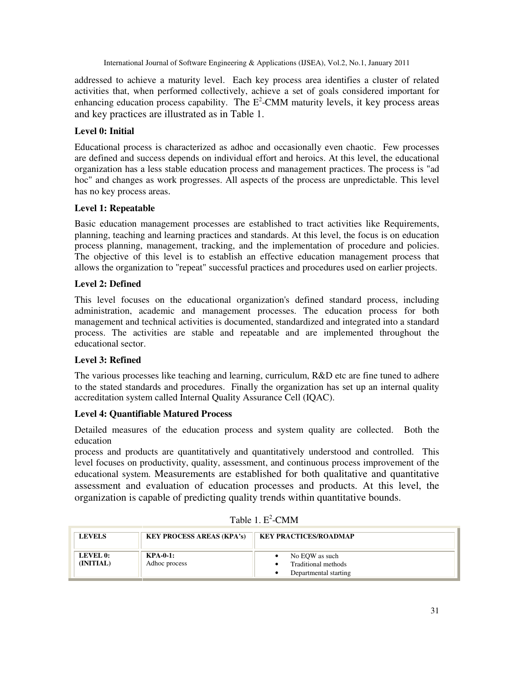addressed to achieve a maturity level. Each key process area identifies a cluster of related activities that, when performed collectively, achieve a set of goals considered important for enhancing education process capability. The  $E^2$ -CMM maturity levels, it key process areas and key practices are illustrated as in Table 1.

# **Level 0: Initial**

Educational process is characterized as adhoc and occasionally even chaotic. Few processes are defined and success depends on individual effort and heroics. At this level, the educational organization has a less stable education process and management practices. The process is "ad hoc" and changes as work progresses. All aspects of the process are unpredictable. This level has no key process areas.

#### **Level 1: Repeatable**

Basic education management processes are established to tract activities like Requirements, planning, teaching and learning practices and standards. At this level, the focus is on education process planning, management, tracking, and the implementation of procedure and policies. The objective of this level is to establish an effective education management process that allows the organization to "repeat" successful practices and procedures used on earlier projects.

#### **Level 2: Defined**

This level focuses on the educational organization's defined standard process, including administration, academic and management processes. The education process for both management and technical activities is documented, standardized and integrated into a standard process. The activities are stable and repeatable and are implemented throughout the educational sector.

#### **Level 3: Refined**

The various processes like teaching and learning, curriculum, R&D etc are fine tuned to adhere to the stated standards and procedures. Finally the organization has set up an internal quality accreditation system called Internal Quality Assurance Cell (IQAC).

#### **Level 4: Quantifiable Matured Process**

Detailed measures of the education process and system quality are collected. Both the education

process and products are quantitatively and quantitatively understood and controlled. This level focuses on productivity, quality, assessment, and continuous process improvement of the educational system. Measurements are established for both qualitative and quantitative assessment and evaluation of education processes and products. At this level, the organization is capable of predicting quality trends within quantitative bounds.

| <b>LEVELS</b>         | <b>KEY PROCESS AREAS (KPA's)</b> | <b>KEY PRACTICES/ROADMAP</b>                                   |
|-----------------------|----------------------------------|----------------------------------------------------------------|
| LEVEL 0:<br>(INITIAL) | $KPA-0-1$ :<br>Adhoc process     | No EOW as such<br>Traditional methods<br>Departmental starting |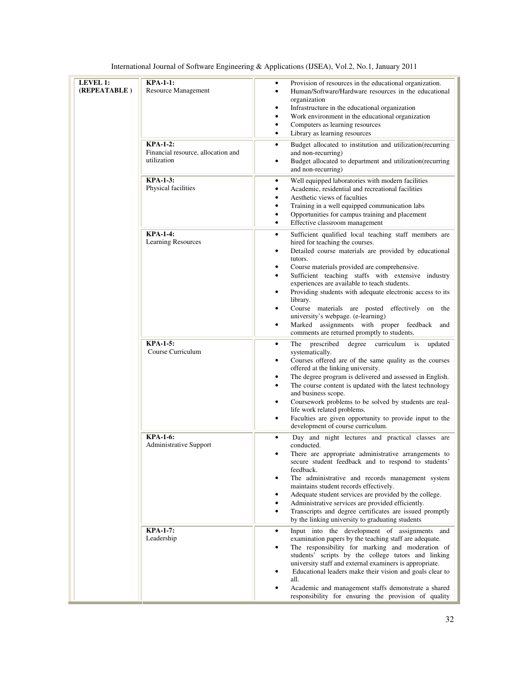| <b>LEVEL 1:</b><br>(REPEATABLE) | <b>KPA-1-1:</b><br>Resource Management<br><b>KPA-1-2:</b><br>Financial resource, allocation and<br>utilization | Provision of resources in the educational organization.<br>٠<br>Human/Software/Hardware resources in the educational<br>$\bullet$<br>organization<br>Infrastructure in the educational organization<br>٠<br>Work environment in the educational organization<br>$\bullet$<br>Computers as learning resources<br>$\bullet$<br>Library as learning resources<br>$\bullet$<br>Budget allocated to institution and utilization(recurring<br>٠<br>and non-recurring)<br>Budget allocated to department and utilization(recurring<br>٠                                                                                                                   |
|---------------------------------|----------------------------------------------------------------------------------------------------------------|----------------------------------------------------------------------------------------------------------------------------------------------------------------------------------------------------------------------------------------------------------------------------------------------------------------------------------------------------------------------------------------------------------------------------------------------------------------------------------------------------------------------------------------------------------------------------------------------------------------------------------------------------|
|                                 | <b>KPA-1-3:</b><br>Physical facilities                                                                         | and non-recurring)<br>Well equipped laboratories with modern facilities<br>٠<br>Academic, residential and recreational facilities<br>$\bullet$<br>Aesthetic views of faculties<br>$\bullet$<br>Training in a well equipped communication labs<br>$\bullet$<br>Opportunities for campus training and placement<br>$\bullet$<br>Effective classroom management<br>$\bullet$                                                                                                                                                                                                                                                                          |
|                                 | <b>KPA-1-4:</b><br><b>Learning Resources</b>                                                                   | Sufficient qualified local teaching staff members are<br>٠<br>hired for teaching the courses.<br>Detailed course materials are provided by educational<br>٠<br>tutors.<br>Course materials provided are comprehensive.<br>٠<br>Sufficient teaching staffs with extensive industry<br>$\bullet$<br>experiences are available to teach students.<br>Providing students with adequate electronic access to its<br>٠<br>library.<br>Course materials are posted effectively on<br>$\bullet$<br>the<br>university's webpage. (e-learning)<br>Marked assignments with proper feedback<br>$\bullet$<br>and<br>comments are returned promptly to students. |
|                                 | <b>KPA-1-5:</b><br>Course Curriculum                                                                           | prescribed<br>degree<br>curriculum is<br>The<br>$\bullet$<br>updated<br>systematically.<br>Courses offered are of the same quality as the courses<br>٠<br>offered at the linking university.<br>The degree program is delivered and assessed in English.<br>٠<br>The course content is updated with the latest technology<br>٠<br>and business scope.<br>Coursework problems to be solved by students are real-<br>٠<br>life work related problems.<br>Faculties are given opportunity to provide input to the<br>$\bullet$<br>development of course curriculum.                                                                                   |
|                                 | <b>KPA-1-6:</b><br><b>Administrative Support</b>                                                               | Day and night lectures and practical classes are<br>٠<br>conducted.<br>There are appropriate administrative arrangements to<br>$\bullet$<br>secure student feedback and to respond to students'<br>feedback.<br>The administrative and records management system<br>maintains student records effectively.<br>Adequate student services are provided by the college.<br>٠<br>Administrative services are provided efficiently.<br>٠<br>Transcripts and degree certificates are issued promptly<br>$\bullet$<br>by the linking university to graduating students                                                                                    |
|                                 | <b>KPA-1-7:</b><br>Leadership                                                                                  | Input into the development of assignments and<br>٠<br>examination papers by the teaching staff are adequate.<br>The responsibility for marking and moderation of<br>٠<br>students' scripts by the college tutors and linking<br>university staff and external examiners is appropriate.<br>Educational leaders make their vision and goals clear to<br>all.<br>Academic and management staffs demonstrate a shared<br>responsibility for ensuring the provision of quality                                                                                                                                                                         |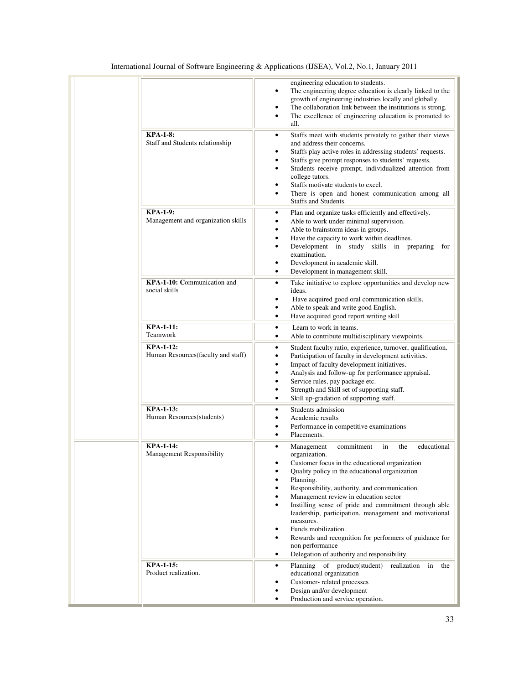|                                                        | engineering education to students.<br>The engineering degree education is clearly linked to the<br>٠<br>growth of engineering industries locally and globally.<br>The collaboration link between the institutions is strong.<br>٠<br>The excellence of engineering education is promoted to<br>٠<br>all.                                                                                                                                                                                                                                                                                                                                                 |
|--------------------------------------------------------|----------------------------------------------------------------------------------------------------------------------------------------------------------------------------------------------------------------------------------------------------------------------------------------------------------------------------------------------------------------------------------------------------------------------------------------------------------------------------------------------------------------------------------------------------------------------------------------------------------------------------------------------------------|
| <b>KPA-1-8:</b><br>Staff and Students relationship     | Staffs meet with students privately to gather their views<br>٠<br>and address their concerns.<br>Staffs play active roles in addressing students' requests.<br>٠<br>Staffs give prompt responses to students' requests.<br>$\bullet$<br>Students receive prompt, individualized attention from<br>٠<br>college tutors.<br>Staffs motivate students to excel.<br>٠<br>There is open and honest communication among all<br>٠<br>Staffs and Students.                                                                                                                                                                                                       |
| <b>KPA-1-9:</b><br>Management and organization skills  | Plan and organize tasks efficiently and effectively.<br>٠<br>Able to work under minimal supervision.<br>$\bullet$<br>Able to brainstorm ideas in groups.<br>٠<br>Have the capacity to work within deadlines.<br>$\bullet$<br>Development in study skills in preparing<br>$\bullet$<br>for<br>examination.<br>Development in academic skill.<br>٠<br>Development in management skill.<br>$\bullet$                                                                                                                                                                                                                                                        |
| KPA-1-10: Communication and<br>social skills           | Take initiative to explore opportunities and develop new<br>$\bullet$<br>ideas.<br>Have acquired good oral communication skills.<br>٠<br>Able to speak and write good English.<br>٠<br>Have acquired good report writing skill<br>$\bullet$                                                                                                                                                                                                                                                                                                                                                                                                              |
| <b>KPA-1-11:</b><br>Teamwork                           | Learn to work in teams.<br>٠<br>Able to contribute multidisciplinary viewpoints.<br>$\bullet$                                                                                                                                                                                                                                                                                                                                                                                                                                                                                                                                                            |
| <b>KPA-1-12:</b><br>Human Resources(faculty and staff) | Student faculty ratio, experience, turnover, qualification.<br>$\bullet$<br>Participation of faculty in development activities.<br>$\bullet$<br>Impact of faculty development initiatives.<br>٠<br>Analysis and follow-up for performance appraisal.<br>٠<br>Service rules, pay package etc.<br>٠<br>Strength and Skill set of supporting staff.<br>٠<br>Skill up-gradation of supporting staff.<br>$\bullet$                                                                                                                                                                                                                                            |
| <b>KPA-1-13:</b><br>Human Resources(students)          | Students admission<br>٠<br>Academic results<br>$\bullet$<br>Performance in competitive examinations<br>٠<br>Placements.<br>$\bullet$                                                                                                                                                                                                                                                                                                                                                                                                                                                                                                                     |
| <b>KPA-1-14:</b><br><b>Management Responsibility</b>   | commitment<br>the<br>educational<br>Management<br>in<br>$\bullet$<br>organization.<br>Customer focus in the educational organization<br>Quality policy in the educational organization<br>٠<br>Planning.<br>$\bullet$<br>Responsibility, authority, and communication.<br>٠<br>Management review in education sector<br>٠<br>Instilling sense of pride and commitment through able<br>$\bullet$<br>leadership, participation, management and motivational<br>measures.<br>Funds mobilization.<br>٠<br>Rewards and recognition for performers of guidance for<br>$\bullet$<br>non performance<br>Delegation of authority and responsibility.<br>$\bullet$ |
| <b>KPA-1-15:</b><br>Product realization.               | Planning of product(student)<br>realization in<br>the<br>٠<br>educational organization<br>Customer-related processes<br>٠<br>Design and/or development<br>$\bullet$<br>Production and service operation.<br>٠                                                                                                                                                                                                                                                                                                                                                                                                                                            |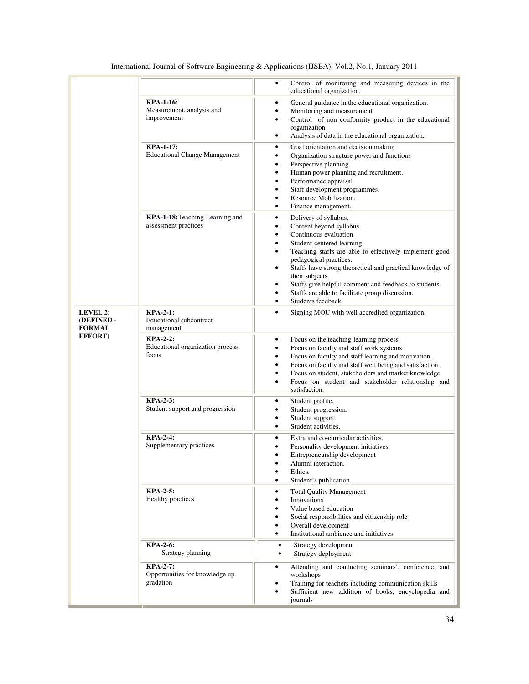|                                        |                                                                 | Control of monitoring and measuring devices in the<br>$\bullet$<br>educational organization.                                                                                                                                                                                                                                                                                                                                                                                                     |
|----------------------------------------|-----------------------------------------------------------------|--------------------------------------------------------------------------------------------------------------------------------------------------------------------------------------------------------------------------------------------------------------------------------------------------------------------------------------------------------------------------------------------------------------------------------------------------------------------------------------------------|
|                                        | <b>KPA-1-16:</b><br>Measurement, analysis and<br>improvement    | General guidance in the educational organization.<br>$\bullet$<br>Monitoring and measurement<br>٠<br>Control of non conformity product in the educational<br>$\bullet$<br>organization<br>Analysis of data in the educational organization.<br>$\bullet$                                                                                                                                                                                                                                         |
|                                        | <b>KPA-1-17:</b><br><b>Educational Change Management</b>        | Goal orientation and decision making<br>$\bullet$<br>Organization structure power and functions<br>٠<br>Perspective planning.<br>٠<br>Human power planning and recruitment.<br>$\bullet$<br>Performance appraisal<br>٠<br>Staff development programmes.<br>٠<br>Resource Mobilization.<br>$\bullet$<br>Finance management.<br>$\bullet$                                                                                                                                                          |
|                                        | KPA-1-18: Teaching-Learning and<br>assessment practices         | Delivery of syllabus.<br>$\bullet$<br>Content beyond syllabus<br>$\bullet$<br>Continuous evaluation<br>$\bullet$<br>Student-centered learning<br>٠<br>Teaching staffs are able to effectively implement good<br>٠<br>pedagogical practices.<br>Staffs have strong theoretical and practical knowledge of<br>$\bullet$<br>their subjects.<br>Staffs give helpful comment and feedback to students.<br>٠<br>Staffs are able to facilitate group discussion.<br>٠<br>Students feedback<br>$\bullet$ |
| LEVEL 2:<br>(DEFINED-<br><b>FORMAL</b> | $KPA-2-1$ :<br>Educational subcontract<br>management            | Signing MOU with well accredited organization.<br>$\bullet$                                                                                                                                                                                                                                                                                                                                                                                                                                      |
| <b>EFFORT</b> )                        | <b>KPA-2-2:</b><br>Educational organization process<br>focus    | Focus on the teaching-learning process<br>$\bullet$<br>Focus on faculty and staff work systems<br>$\bullet$<br>Focus on faculty and staff learning and motivation.<br>٠<br>Focus on faculty and staff well being and satisfaction.<br>٠<br>Focus on student, stakeholders and market knowledge<br>$\bullet$<br>Focus on student and stakeholder relationship and<br>$\bullet$<br>satisfaction.                                                                                                   |
|                                        | <b>KPA-2-3:</b><br>Student support and progression              | Student profile.<br>٠<br>Student progression.<br>٠<br>Student support.<br>٠<br>Student activities.<br>$\bullet$                                                                                                                                                                                                                                                                                                                                                                                  |
|                                        | <b>KPA-2-4:</b><br>Supplementary practices                      | Extra and co-curricular activities.<br>٠<br>Personality development initiatives<br>$\bullet$<br>Entrepreneurship development<br>Alumni interaction.<br>Ethics.<br>$\bullet$<br>Student's publication.                                                                                                                                                                                                                                                                                            |
|                                        | <b>KPA-2-5:</b><br>Healthy practices                            | <b>Total Quality Management</b><br>$\bullet$<br><b>Innovations</b><br>٠<br>Value based education<br>$\bullet$<br>Social responsibilities and citizenship role<br>Overall development<br>$\bullet$<br>Institutional ambience and initiatives<br>٠                                                                                                                                                                                                                                                 |
|                                        | <b>KPA-2-6:</b><br>Strategy planning                            | Strategy development<br>٠<br>Strategy deployment<br>٠                                                                                                                                                                                                                                                                                                                                                                                                                                            |
|                                        | <b>KPA-2-7:</b><br>Opportunities for knowledge up-<br>gradation | Attending and conducting seminars', conference, and<br>$\bullet$<br>workshops<br>Training for teachers including communication skills<br>٠<br>Sufficient new addition of books, encyclopedia and<br>journals                                                                                                                                                                                                                                                                                     |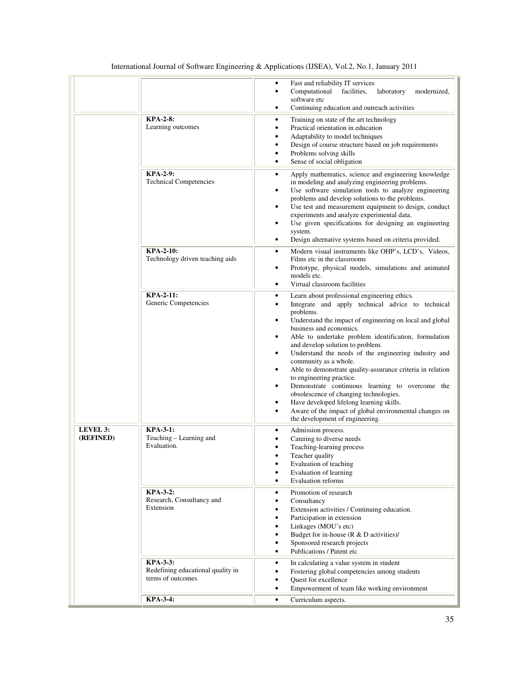| International Journal of Software Engineering & Applications (IJSEA), Vol.2, No.1, January 2011 |  |  |
|-------------------------------------------------------------------------------------------------|--|--|
|-------------------------------------------------------------------------------------------------|--|--|

|                              |                                                                           | Fast and reliability IT services<br>٠<br>Computational<br>facilities,<br>laboratory<br>modernized,<br>$\bullet$<br>software etc<br>Continuing education and outreach activities<br>$\bullet$                                                                                                                                                                                                                                                                                                                                                                                                                                                                                                                                                                                                                     |
|------------------------------|---------------------------------------------------------------------------|------------------------------------------------------------------------------------------------------------------------------------------------------------------------------------------------------------------------------------------------------------------------------------------------------------------------------------------------------------------------------------------------------------------------------------------------------------------------------------------------------------------------------------------------------------------------------------------------------------------------------------------------------------------------------------------------------------------------------------------------------------------------------------------------------------------|
|                              | <b>KPA-2-8:</b><br>Learning outcomes                                      | Training on state of the art technology<br>٠<br>Practical orientation in education<br>$\bullet$<br>Adaptability to model techniques<br>٠<br>Design of course structure based on job requirements<br>$\bullet$<br>Problems solving skills<br>٠<br>Sense of social obligation<br>$\bullet$                                                                                                                                                                                                                                                                                                                                                                                                                                                                                                                         |
|                              | <b>KPA-2-9:</b><br><b>Technical Competencies</b>                          | Apply mathematics, science and engineering knowledge<br>$\bullet$<br>in modeling and analyzing engineering problems.<br>Use software simulation tools to analyze engineering<br>$\bullet$<br>problems and develop solutions to the problems.<br>Use test and measurement equipment to design, conduct<br>٠<br>experiments and analyze experimental data.<br>Use given specifications for designing an engineering<br>٠<br>system.<br>Design alternative systems based on criteria provided.<br>$\bullet$                                                                                                                                                                                                                                                                                                         |
|                              | <b>KPA-2-10:</b><br>Technology driven teaching aids                       | Modern visual instruments like OHP's, LCD's, Videos,<br>$\bullet$<br>Films etc in the classrooms<br>Prototype, physical models, simulations and animated<br>٠<br>models etc.<br>Virtual classroom facilities<br>$\bullet$                                                                                                                                                                                                                                                                                                                                                                                                                                                                                                                                                                                        |
|                              | <b>KPA-2-11:</b><br>Generic Competencies                                  | Learn about professional engineering ethics.<br>٠<br>Integrate and apply technical advice to technical<br>٠<br>problems.<br>Understand the impact of engineering on local and global<br>$\bullet$<br>business and economics.<br>Able to undertake problem identification, formulation<br>$\bullet$<br>and develop solution to problem.<br>Understand the needs of the engineering industry and<br>$\bullet$<br>community as a whole.<br>Able to demonstrate quality-assurance criteria in relation<br>$\bullet$<br>to engineering practice.<br>Demonstrate continuous learning to overcome the<br>$\bullet$<br>obsolescence of changing technologies.<br>Have developed lifelong learning skills.<br>$\bullet$<br>Aware of the impact of global environmental changes on<br>٠<br>the development of engineering. |
| <b>LEVEL 3:</b><br>(REFINED) | <b>KPA-3-1:</b><br>Teaching - Learning and<br>Evaluation.                 | Admission process.<br>٠<br>Catering to diverse needs<br>٠<br>Teaching-learning process<br>٠<br>Teacher quality<br>$\bullet$<br>Evaluation of teaching<br>$\bullet$<br>Evaluation of learning<br>$\bullet$<br><b>Evaluation reforms</b><br>$\bullet$                                                                                                                                                                                                                                                                                                                                                                                                                                                                                                                                                              |
|                              | <b>KPA-3-2:</b><br>Research, Consultancy and<br>Extension                 | Promotion of research<br>$\bullet$<br>Consultancy<br>$\bullet$<br>Extension activities / Continuing education.<br>٠<br>Participation in extension<br>$\bullet$<br>Linkages (MOU's etc)<br>$\bullet$<br>Budget for in-house (R & D activities)/<br>$\bullet$<br>Sponsored research projects<br>$\bullet$<br>Publications / Patent etc<br>$\bullet$                                                                                                                                                                                                                                                                                                                                                                                                                                                                |
|                              | <b>KPA-3-3:</b><br>Redefining educational quality in<br>terms of outcomes | In calculating a value system in student<br>$\bullet$<br>Fostering global competencies among students<br>٠<br>Quest for excellence<br>$\bullet$<br>Empowerment of team like working environment<br>$\bullet$                                                                                                                                                                                                                                                                                                                                                                                                                                                                                                                                                                                                     |
|                              | <b>KPA-3-4:</b>                                                           | Curriculum aspects.<br>$\bullet$                                                                                                                                                                                                                                                                                                                                                                                                                                                                                                                                                                                                                                                                                                                                                                                 |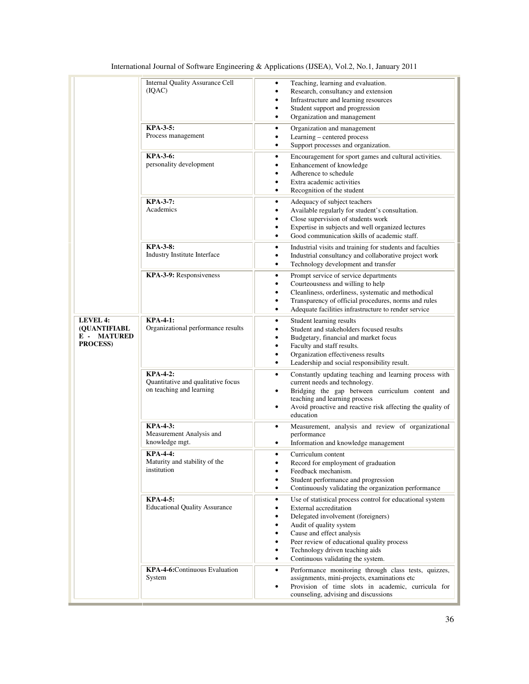|                                                                                    | <b>Internal Quality Assurance Cell</b><br>(IQAC)<br><b>KPA-3-5:</b><br>Process management | Teaching, learning and evaluation.<br>٠<br>Research, consultancy and extension<br>Infrastructure and learning resources<br>٠<br>Student support and progression<br>٠<br>Organization and management<br>$\bullet$<br>Organization and management<br>٠<br>Learning - centered process<br>$\bullet$<br>Support processes and organization.<br>٠ |
|------------------------------------------------------------------------------------|-------------------------------------------------------------------------------------------|----------------------------------------------------------------------------------------------------------------------------------------------------------------------------------------------------------------------------------------------------------------------------------------------------------------------------------------------|
|                                                                                    | <b>KPA-3-6:</b><br>personality development                                                | Encouragement for sport games and cultural activities.<br>٠<br>Enhancement of knowledge<br>٠<br>Adherence to schedule<br>Extra academic activities<br>$\bullet$<br>Recognition of the student<br>٠                                                                                                                                           |
|                                                                                    | <b>KPA-3-7:</b><br>Academics                                                              | Adequacy of subject teachers<br>٠<br>Available regularly for student's consultation.<br>٠<br>Close supervision of students work<br>٠<br>Expertise in subjects and well organized lectures<br>٠<br>Good communication skills of academic staff.<br>٠                                                                                          |
|                                                                                    | <b>KPA-3-8:</b><br>Industry Institute Interface                                           | Industrial visits and training for students and faculties<br>٠<br>Industrial consultancy and collaborative project work<br>٠<br>Technology development and transfer<br>٠                                                                                                                                                                     |
|                                                                                    | KPA-3-9: Responsiveness                                                                   | Prompt service of service departments<br>٠<br>Courteousness and willing to help<br>٠<br>Cleanliness, orderliness, systematic and methodical<br>٠<br>Transparency of official procedures, norms and rules<br>Adequate facilities infrastructure to render service<br>٠                                                                        |
| <b>LEVEL 4:</b><br><b>(OUANTIFIABL</b><br><b>MATURED</b><br>Е-<br><b>PROCESS</b> ) | <b>KPA-4-1:</b><br>Organizational performance results                                     | Student learning results<br>٠<br>Student and stakeholders focused results<br>٠<br>Budgetary, financial and market focus<br>٠<br>Faculty and staff results.<br>٠<br>Organization effectiveness results<br>٠<br>Leadership and social responsibility result.<br>٠                                                                              |
|                                                                                    | <b>KPA-4-2:</b><br>Quantitative and qualitative focus<br>on teaching and learning         | Constantly updating teaching and learning process with<br>$\bullet$<br>current needs and technology.<br>Bridging the gap between curriculum content and<br>٠<br>teaching and learning process<br>Avoid proactive and reactive risk affecting the quality of<br>٠<br>education                                                                |
|                                                                                    | <b>KPA-4-3:</b><br>Measurement Analysis and<br>knowledge mgt.                             | Measurement, analysis and review of organizational<br>٠<br>performance<br>Information and knowledge management<br>٠                                                                                                                                                                                                                          |
|                                                                                    | <b>KPA-4-4:</b><br>Maturity and stability of the<br>institution                           | Curriculum content<br>٠<br>Record for employment of graduation<br>Feedback mechanism.<br>٠<br>Student performance and progression<br>Continuously validating the organization performance<br>٠                                                                                                                                               |
|                                                                                    | <b>KPA-4-5:</b><br><b>Educational Quality Assurance</b>                                   | Use of statistical process control for educational system<br>٠<br>External accreditation<br>Delegated involvement (foreigners)<br>Audit of quality system<br>٠<br>Cause and effect analysis<br>٠<br>Peer review of educational quality process<br>٠<br>Technology driven teaching aids<br>٠<br>Continuous validating the system.<br>٠        |
|                                                                                    | <b>KPA-4-6:</b> Continuous Evaluation<br>System                                           | Performance monitoring through class tests, quizzes,<br>٠<br>assignments, mini-projects, examinations etc<br>Provision of time slots in academic, curricula for<br>counseling, advising and discussions                                                                                                                                      |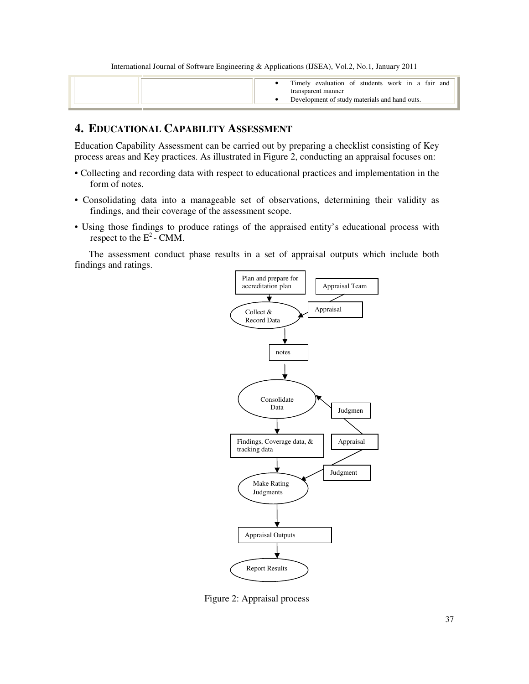| Timely evaluation of students work in a fair and |
|--------------------------------------------------|
| transparent manner                               |
| Development of study materials and hand outs.    |

# **4. EDUCATIONAL CAPABILITY ASSESSMENT**

Education Capability Assessment can be carried out by preparing a checklist consisting of Key process areas and Key practices. As illustrated in Figure 2, conducting an appraisal focuses on:

- Collecting and recording data with respect to educational practices and implementation in the form of notes.
- Consolidating data into a manageable set of observations, determining their validity as findings, and their coverage of the assessment scope.
- Using those findings to produce ratings of the appraised entity's educational process with respect to the  $E^2$ - CMM.

 The assessment conduct phase results in a set of appraisal outputs which include both findings and ratings.



Figure 2: Appraisal process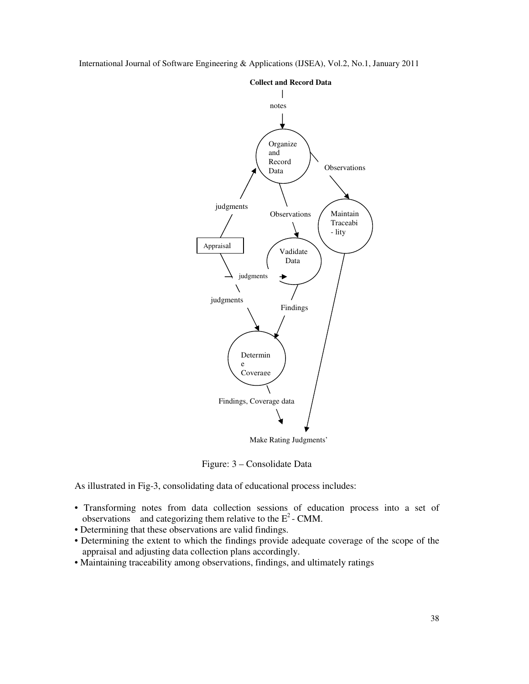International Journal of Software Engineering & Applications (IJSEA), Vol.2, No.1, January 2011



Figure: 3 – Consolidate Data

As illustrated in Fig-3, consolidating data of educational process includes:

- Transforming notes from data collection sessions of education process into a set of observations and categorizing them relative to the  $E^2$ -CMM.
- Determining that these observations are valid findings.
- Determining the extent to which the findings provide adequate coverage of the scope of the appraisal and adjusting data collection plans accordingly.
- Maintaining traceability among observations, findings, and ultimately ratings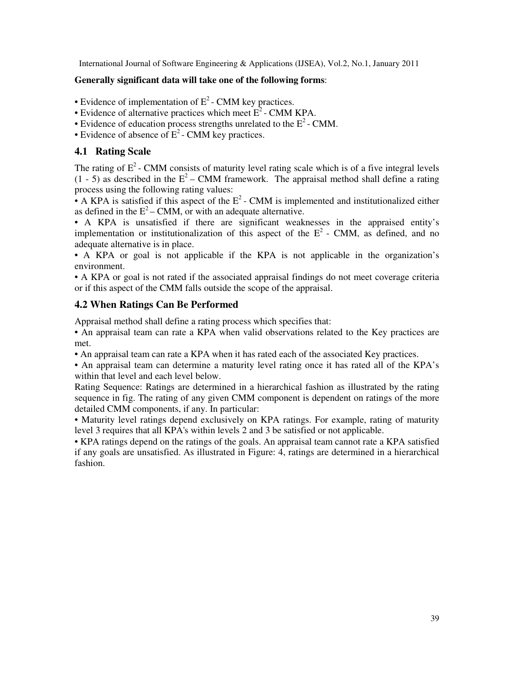#### **Generally significant data will take one of the following forms**:

- Evidence of implementation of  $E^2$  CMM key practices.
- Evidence of alternative practices which meet  $E^2$  CMM KPA.
- Evidence of education process strengths unrelated to the  $E^2$  CMM.
- Evidence of absence of  $E^2$  CMM key practices.

# **4.1 Rating Scale**

The rating of  $E^2$ - CMM consists of maturity level rating scale which is of a five integral levels  $(1 - 5)$  as described in the  $E^2$  – CMM framework. The appraisal method shall define a rating process using the following rating values:

• A KPA is satisfied if this aspect of the  $E^2$ -CMM is implemented and institutionalized either as defined in the  $E^2$  – CMM, or with an adequate alternative.

• A KPA is unsatisfied if there are significant weaknesses in the appraised entity's implementation or institutionalization of this aspect of the  $E<sup>2</sup>$  - CMM, as defined, and no adequate alternative is in place.

• A KPA or goal is not applicable if the KPA is not applicable in the organization's environment.

• A KPA or goal is not rated if the associated appraisal findings do not meet coverage criteria or if this aspect of the CMM falls outside the scope of the appraisal.

# **4.2 When Ratings Can Be Performed**

Appraisal method shall define a rating process which specifies that:

• An appraisal team can rate a KPA when valid observations related to the Key practices are met.

• An appraisal team can rate a KPA when it has rated each of the associated Key practices.

• An appraisal team can determine a maturity level rating once it has rated all of the KPA's within that level and each level below.

Rating Sequence: Ratings are determined in a hierarchical fashion as illustrated by the rating sequence in fig. The rating of any given CMM component is dependent on ratings of the more detailed CMM components, if any. In particular:

• Maturity level ratings depend exclusively on KPA ratings. For example, rating of maturity level 3 requires that all KPA's within levels 2 and 3 be satisfied or not applicable.

• KPA ratings depend on the ratings of the goals. An appraisal team cannot rate a KPA satisfied if any goals are unsatisfied. As illustrated in Figure: 4, ratings are determined in a hierarchical fashion.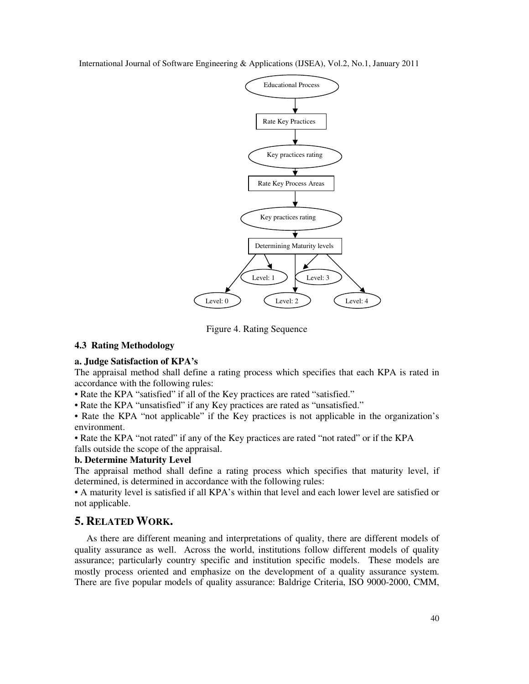

Figure 4. Rating Sequence

#### **4.3 Rating Methodology**

#### **a. Judge Satisfaction of KPA's**

The appraisal method shall define a rating process which specifies that each KPA is rated in accordance with the following rules:

• Rate the KPA "satisfied" if all of the Key practices are rated "satisfied."

• Rate the KPA "unsatisfied" if any Key practices are rated as "unsatisfied."

• Rate the KPA "not applicable" if the Key practices is not applicable in the organization's environment.

• Rate the KPA "not rated" if any of the Key practices are rated "not rated" or if the KPA falls outside the scope of the appraisal.

# **b. Determine Maturity Level**

The appraisal method shall define a rating process which specifies that maturity level, if determined, is determined in accordance with the following rules:

• A maturity level is satisfied if all KPA's within that level and each lower level are satisfied or not applicable.

# **5. RELATED WORK.**

 As there are different meaning and interpretations of quality, there are different models of quality assurance as well. Across the world, institutions follow different models of quality assurance; particularly country specific and institution specific models. These models are mostly process oriented and emphasize on the development of a quality assurance system. There are five popular models of quality assurance: Baldrige Criteria, ISO 9000-2000, CMM,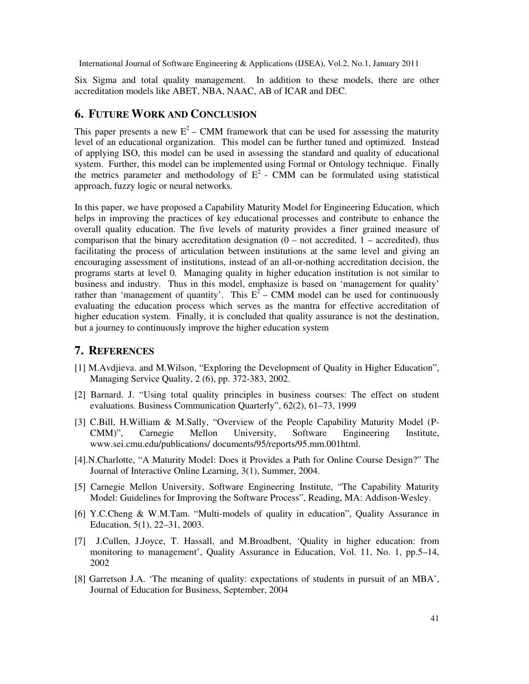Six Sigma and total quality management. In addition to these models, there are other accreditation models like ABET, NBA, NAAC, AB of ICAR and DEC.

# **6. FUTURE WORK AND CONCLUSION**

This paper presents a new  $E^2$  – CMM framework that can be used for assessing the maturity level of an educational organization. This model can be further tuned and optimized. Instead of applying ISO, this model can be used in assessing the standard and quality of educational system. Further, this model can be implemented using Formal or Ontology technique. Finally the metrics parameter and methodology of  $E^2$  - CMM can be formulated using statistical approach, fuzzy logic or neural networks.

In this paper, we have proposed a Capability Maturity Model for Engineering Education, which helps in improving the practices of key educational processes and contribute to enhance the overall quality education. The five levels of maturity provides a finer grained measure of comparison that the binary accreditation designation  $(0 - not{ accre-dited} )$ , thus facilitating the process of articulation between institutions at the same level and giving an encouraging assessment of institutions, instead of an all-or-nothing accreditation decision, the programs starts at level 0. Managing quality in higher education institution is not similar to business and industry. Thus in this model, emphasize is based on 'management for quality' rather than 'management of quantity'. This  $E^2$  – CMM model can be used for continuously evaluating the education process which serves as the mantra for effective accreditation of higher education system. Finally, it is concluded that quality assurance is not the destination, but a journey to continuously improve the higher education system

#### **7. REFERENCES**

- [1] M.Avdjieva. and M.Wilson, "Exploring the Development of Quality in Higher Education", Managing Service Quality, 2 (6), pp. 372-383, 2002.
- [2] Barnard. J. "Using total quality principles in business courses: The effect on student evaluations. Business Communication Quarterly", 62(2), 61–73, 1999
- [3] C.Bill, H.William & M.Sally, "Overview of the People Capability Maturity Model (P-CMM)", Carnegie Mellon University, Software Engineering Institute, www.sei.cmu.edu/publications/ documents/95/reports/95.mm.001html.
- [4].N.Charlotte, "A Maturity Model: Does it Provides a Path for Online Course Design?" The Journal of Interactive Online Learning, 3(1), Summer, 2004.
- [5] Carnegie Mellon University, Software Engineering Institute, "The Capability Maturity Model: Guidelines for Improving the Software Process", Reading, MA: Addison-Wesley.
- [6] Y.C.Cheng & W.M.Tam. "Multi-models of quality in education", Quality Assurance in Education, 5(1), 22–31, 2003.
- [7] J.Cullen, J.Joyce, T. Hassall, and M.Broadbent, 'Quality in higher education: from monitoring to management', Quality Assurance in Education, Vol. 11, No. 1, pp.5–14, 2002
- [8] Garretson J.A. 'The meaning of quality: expectations of students in pursuit of an MBA', Journal of Education for Business, September, 2004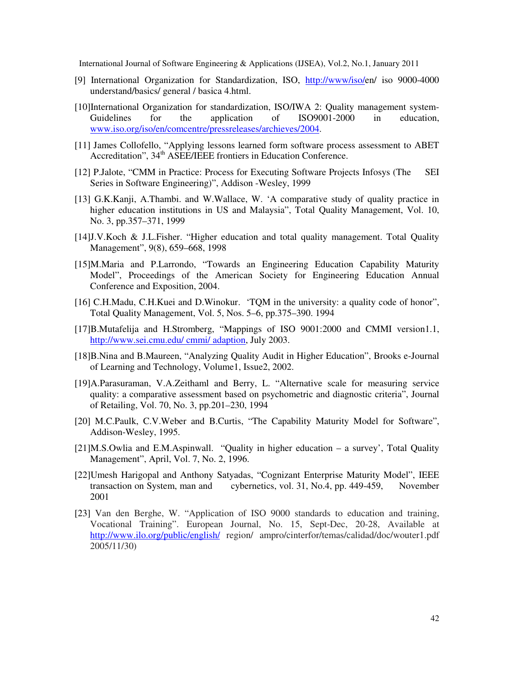- [9] International Organization for Standardization, ISO, http://www/iso/en/ iso 9000-4000 understand/basics/ general / basica 4.html.
- [10]International Organization for standardization, ISO/IWA 2: Quality management system-Guidelines for the application of ISO9001-2000 in education, www.iso.org/iso/en/comcentre/pressreleases/archieves/2004.
- [11] James Collofello, "Applying lessons learned form software process assessment to ABET Accreditation", 34<sup>th</sup> ASEE/IEEE frontiers in Education Conference.
- [12] P.Jalote, "CMM in Practice: Process for Executing Software Projects Infosys (The SEI Series in Software Engineering)", Addison -Wesley, 1999
- [13] G.K.Kanji, A.Thambi. and W.Wallace, W. 'A comparative study of quality practice in higher education institutions in US and Malaysia", Total Quality Management, Vol. 10, No. 3, pp.357–371, 1999
- [14]J.V.Koch & J.L.Fisher. "Higher education and total quality management. Total Quality Management", 9(8), 659–668, 1998
- [15]M.Maria and P.Larrondo, "Towards an Engineering Education Capability Maturity Model", Proceedings of the American Society for Engineering Education Annual Conference and Exposition, 2004.
- [16] C.H.Madu, C.H.Kuei and D.Winokur. 'TQM in the university: a quality code of honor", Total Quality Management, Vol. 5, Nos. 5–6, pp.375–390. 1994
- [17]B.Mutafelija and H.Stromberg, "Mappings of ISO 9001:2000 and CMMI version1.1, http://www.sei.cmu.edu/ cmmi/ adaption, July 2003.
- [18]B.Nina and B.Maureen, "Analyzing Quality Audit in Higher Education", Brooks e-Journal of Learning and Technology, Volume1, Issue2, 2002.
- [19]A.Parasuraman, V.A.Zeithaml and Berry, L. "Alternative scale for measuring service quality: a comparative assessment based on psychometric and diagnostic criteria", Journal of Retailing, Vol. 70, No. 3, pp.201–230, 1994
- [20] M.C.Paulk, C.V.Weber and B.Curtis, "The Capability Maturity Model for Software", Addison-Wesley, 1995.
- [21]M.S.Owlia and E.M.Aspinwall. "Quality in higher education a survey', Total Quality Management", April, Vol. 7, No. 2, 1996.
- [22]Umesh Harigopal and Anthony Satyadas, "Cognizant Enterprise Maturity Model", IEEE transaction on System, man and cybernetics, vol. 31, No.4, pp. 449-459, November 2001
- [23] Van den Berghe, W. "Application of ISO 9000 standards to education and training, Vocational Training". European Journal, No. 15, Sept-Dec, 20-28, Available at http://www.ilo.org/public/english/ region/ ampro/cinterfor/temas/calidad/doc/wouter1.pdf 2005/11/30)